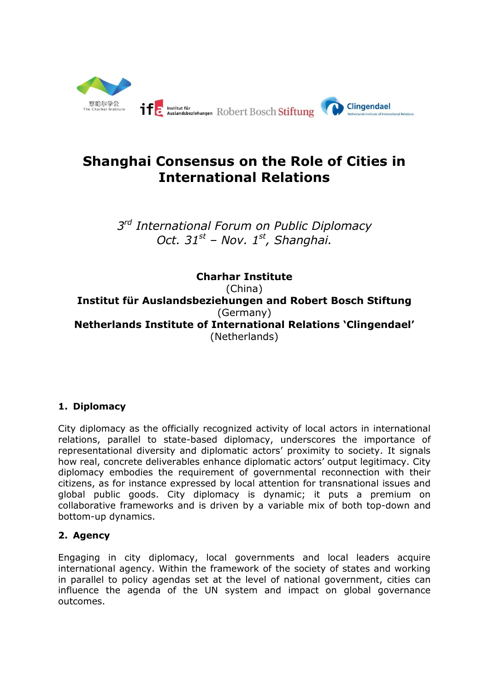

# **Shanghai Consensus on the Role of Cities in International Relations**

*3 rd International Forum on Public Diplomacy Oct. 31st – Nov. 1 st, Shanghai.*

**Charhar Institute** (China) **Institut für Auslandsbeziehungen and Robert Bosch Stiftung** (Germany) **Netherlands Institute of International Relations 'Clingendael'** (Netherlands)

## **1. Diplomacy**

City diplomacy as the officially recognized activity of local actors in international relations, parallel to state-based diplomacy, underscores the importance of representational diversity and diplomatic actors' proximity to society. It signals how real, concrete deliverables enhance diplomatic actors' output legitimacy. City diplomacy embodies the requirement of governmental reconnection with their citizens, as for instance expressed by local attention for transnational issues and global public goods. City diplomacy is dynamic; it puts a premium on collaborative frameworks and is driven by a variable mix of both top-down and bottom-up dynamics.

## **2. Agency**

Engaging in city diplomacy, local governments and local leaders acquire international agency. Within the framework of the society of states and working in parallel to policy agendas set at the level of national government, cities can influence the agenda of the UN system and impact on global governance outcomes.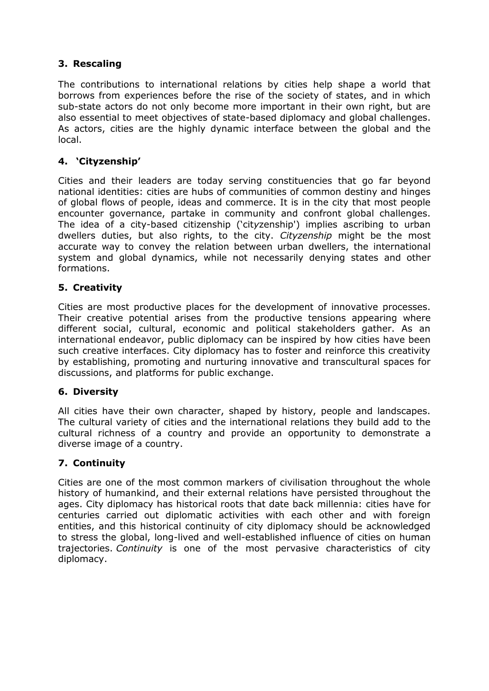## **3. Rescaling**

The contributions to international relations by cities help shape a world that borrows from experiences before the rise of the society of states, and in which sub-state actors do not only become more important in their own right, but are also essential to meet objectives of state-based diplomacy and global challenges. As actors, cities are the highly dynamic interface between the global and the local.

## **4. 'Cityzenship'**

Cities and their leaders are today serving constituencies that go far beyond national identities: cities are hubs of communities of common destiny and hinges of global flows of people, ideas and commerce. It is in the city that most people encounter governance, partake in community and confront global challenges. The idea of a city-based citizenship ('cit*y*zenship') implies ascribing to urban dwellers duties, but also rights, to the city. *Cityzenship* might be the most accurate way to convey the relation between urban dwellers, the international system and global dynamics, while not necessarily denying states and other formations.

## **5. Creativity**

Cities are most productive places for the development of innovative processes. Their creative potential arises from the productive tensions appearing where different social, cultural, economic and political stakeholders gather. As an international endeavor, public diplomacy can be inspired by how cities have been such creative interfaces. City diplomacy has to foster and reinforce this creativity by establishing, promoting and nurturing innovative and transcultural spaces for discussions, and platforms for public exchange.

## **6. Diversity**

All cities have their own character, shaped by history, people and landscapes. The cultural variety of cities and the international relations they build add to the cultural richness of a country and provide an opportunity to demonstrate a diverse image of a country.

## **7. Continuity**

Cities are one of the most common markers of civilisation throughout the whole history of humankind, and their external relations have persisted throughout the ages. City diplomacy has historical roots that date back millennia: cities have for centuries carried out diplomatic activities with each other and with foreign entities, and this historical continuity of city diplomacy should be acknowledged to stress the global, long-lived and well-established influence of cities on human trajectories. *Continuity* is one of the most pervasive characteristics of city diplomacy.